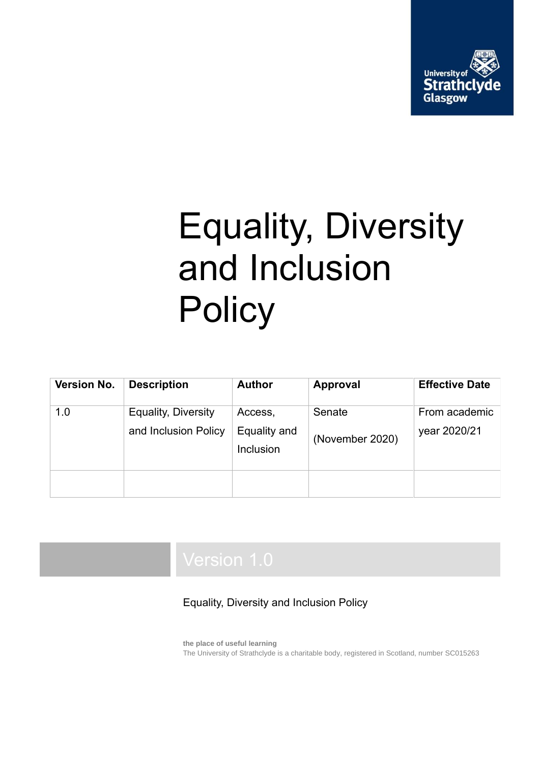

# Equality, Diversity and Inclusion **Policy**

| Version No. | <b>Description</b>                                 | <b>Author</b>                        | <b>Approval</b>           | <b>Effective Date</b>         |
|-------------|----------------------------------------------------|--------------------------------------|---------------------------|-------------------------------|
| 1.0         | <b>Equality, Diversity</b><br>and Inclusion Policy | Access,<br>Equality and<br>Inclusion | Senate<br>(November 2020) | From academic<br>year 2020/21 |
|             |                                                    |                                      |                           |                               |

### Equality, Diversity and Inclusion Policy

**the place of useful learning** The University of Strathclyde is a charitable body, registered in Scotland, number SC015263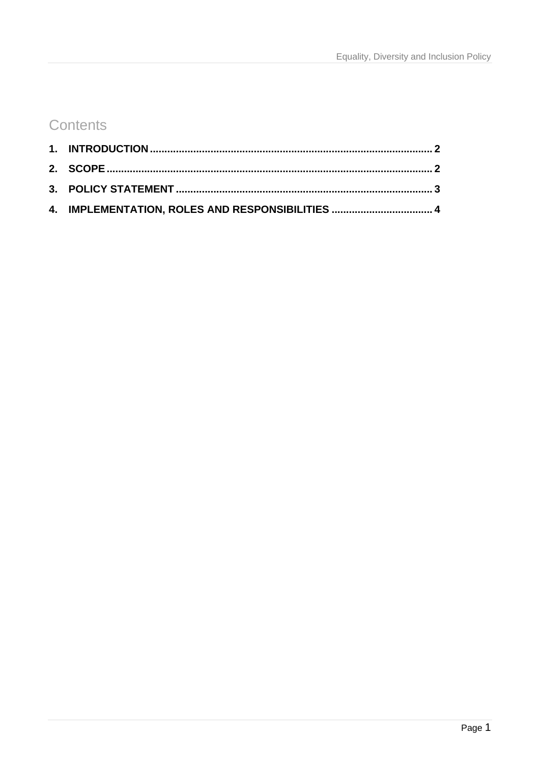## **Contents**

| 4. IMPLEMENTATION, ROLES AND RESPONSIBILITIES  4 |  |
|--------------------------------------------------|--|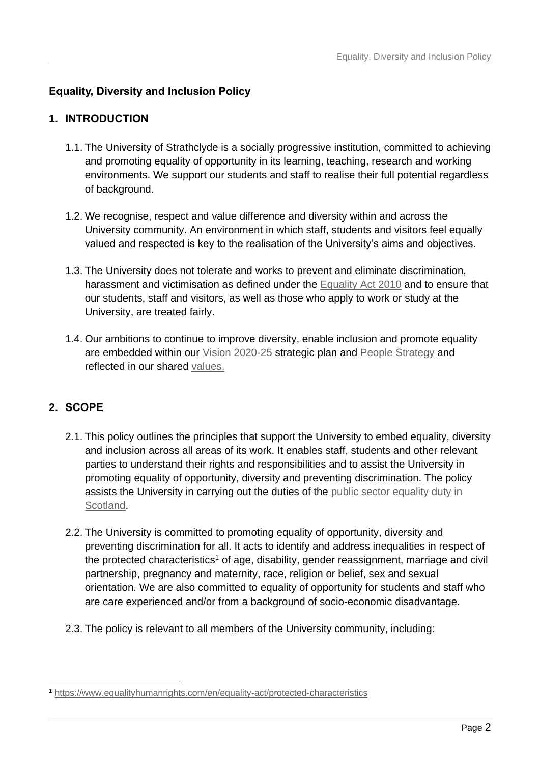#### **Equality, Diversity and Inclusion Policy**

#### <span id="page-2-0"></span>**1. INTRODUCTION**

- 1.1. The University of Strathclyde is a socially progressive institution, committed to achieving and promoting equality of opportunity in its learning, teaching, research and working environments. We support our students and staff to realise their full potential regardless of background.
- 1.2. We recognise, respect and value difference and diversity within and across the University community. An environment in which staff, students and visitors feel equally valued and respected is key to the realisation of the University's aims and objectives.
- 1.3. The University does not tolerate and works to prevent and eliminate discrimination, harassment and victimisation as defined under the [Equality Act 2010](https://www.equalityhumanrights.com/en/equality-act-2010/what-equality-act) and to ensure that our students, staff and visitors, as well as those who apply to work or study at the University, are treated fairly.
- 1.4. Our ambitions to continue to improve diversity, enable inclusion and promote equality are embedded within our [Vision 2020-25](https://www.strath.ac.uk/media/1newwebsite/documents/Strategic_Plan_2025.pdf) strategic plan and [People Strategy](https://www.strath.ac.uk/media/1newwebsite/documents/peoplestrategy2025.pdf) and reflected in our shared [values.](https://www.strath.ac.uk/whystrathclyde/values/)

#### <span id="page-2-1"></span>**2. SCOPE**

- 2.1. This policy outlines the principles that support the University to embed equality, diversity and inclusion across all areas of its work. It enables staff, students and other relevant parties to understand their rights and responsibilities and to assist the University in promoting equality of opportunity, diversity and preventing discrimination. The policy assists the University in carrying out the duties of the public sector equality duty in [Scotland.](https://www.equalityhumanrights.com/en/public-sector-equality-duty-scotland/fostering-understanding-reducing-prejudice-and-setting-equality)
- 2.2. The University is committed to promoting equality of opportunity, diversity and preventing discrimination for all. It acts to identify and address inequalities in respect of the protected characteristics<sup>1</sup> of age, disability, gender reassignment, marriage and civil partnership, pregnancy and maternity, race, religion or belief, sex and sexual orientation. We are also committed to equality of opportunity for students and staff who are care experienced and/or from a background of socio-economic disadvantage.
- 2.3. The policy is relevant to all members of the University community, including:

<sup>-</sup><sup>1</sup> <https://www.equalityhumanrights.com/en/equality-act/protected-characteristics>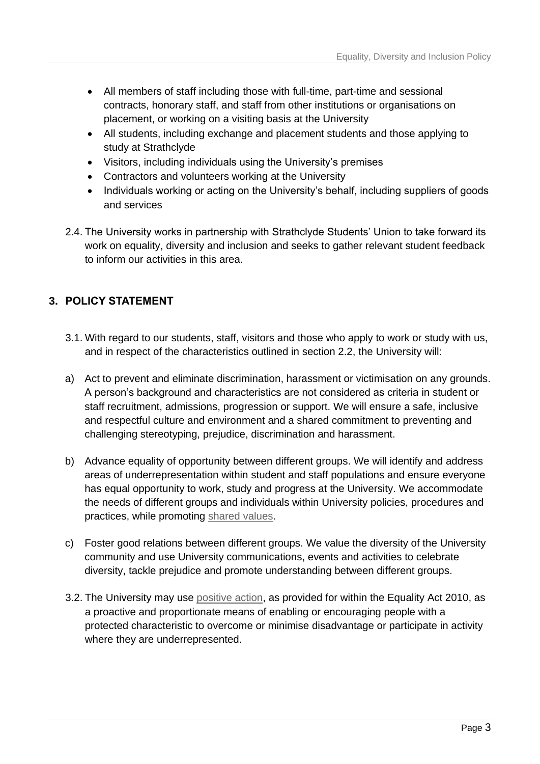- All members of staff including those with full-time, part-time and sessional contracts, honorary staff, and staff from other institutions or organisations on placement, or working on a visiting basis at the University
- All students, including exchange and placement students and those applying to study at Strathclyde
- Visitors, including individuals using the University's premises
- Contractors and volunteers working at the University
- Individuals working or acting on the University's behalf, including suppliers of goods and services
- 2.4. The University works in partnership with Strathclyde Students' Union to take forward its work on equality, diversity and inclusion and seeks to gather relevant student feedback to inform our activities in this area.

#### <span id="page-3-0"></span>**3. POLICY STATEMENT**

- 3.1. With regard to our students, staff, visitors and those who apply to work or study with us, and in respect of the characteristics outlined in section 2.2, the University will:
- a) Act to prevent and eliminate discrimination, harassment or victimisation on any grounds. A person's background and characteristics are not considered as criteria in student or staff recruitment, admissions, progression or support. We will ensure a safe, inclusive and respectful culture and environment and a shared commitment to preventing and challenging stereotyping, prejudice, discrimination and harassment.
- b) Advance equality of opportunity between different groups. We will identify and address areas of underrepresentation within student and staff populations and ensure everyone has equal opportunity to work, study and progress at the University. We accommodate the needs of different groups and individuals within University policies, procedures and practices, while promoting [shared values.](https://www.strath.ac.uk/whystrathclyde/values/)
- c) Foster good relations between different groups. We value the diversity of the University community and use University communications, events and activities to celebrate diversity, tackle prejudice and promote understanding between different groups.
- 3.2. The University may use [positive action,](https://www.equalityhumanrights.com/en/advice-and-guidance/employers-what-positive-action-workplace) as provided for within the Equality Act 2010, as a proactive and proportionate means of enabling or encouraging people with a protected characteristic to overcome or minimise disadvantage or participate in activity where they are underrepresented.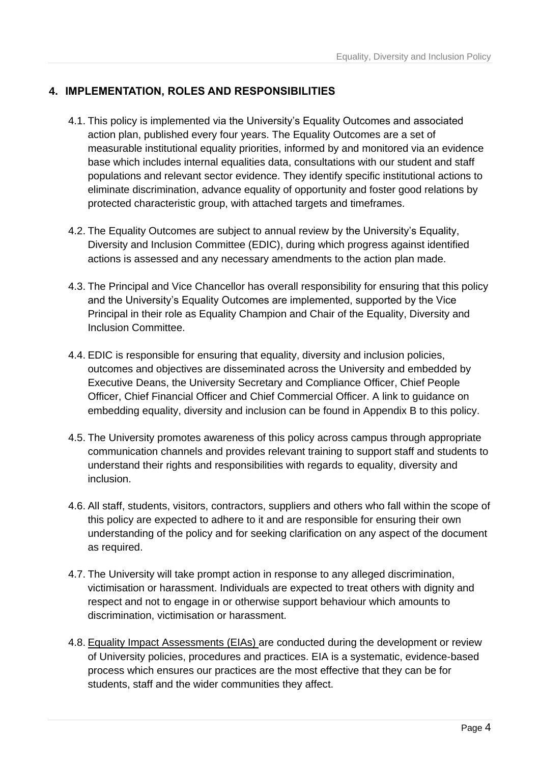#### <span id="page-4-0"></span>**4. IMPLEMENTATION, ROLES AND RESPONSIBILITIES**

- 4.1. This policy is implemented via the University's Equality Outcomes and associated action plan, published every four years. The Equality Outcomes are a set of measurable institutional equality priorities, informed by and monitored via an evidence base which includes internal equalities data, consultations with our student and staff populations and relevant sector evidence. They identify specific institutional actions to eliminate discrimination, advance equality of opportunity and foster good relations by protected characteristic group, with attached targets and timeframes.
- 4.2. The Equality Outcomes are subject to annual review by the University's Equality, Diversity and Inclusion Committee (EDIC), during which progress against identified actions is assessed and any necessary amendments to the action plan made.
- 4.3. The Principal and Vice Chancellor has overall responsibility for ensuring that this policy and the University's Equality Outcomes are implemented, supported by the Vice Principal in their role as Equality Champion and Chair of the Equality, Diversity and Inclusion Committee.
- 4.4. EDIC is responsible for ensuring that equality, diversity and inclusion policies, outcomes and objectives are disseminated across the University and embedded by Executive Deans, the University Secretary and Compliance Officer, Chief People Officer, Chief Financial Officer and Chief Commercial Officer. A link to guidance on embedding equality, diversity and inclusion can be found in Appendix B to this policy.
- 4.5. The University promotes awareness of this policy across campus through appropriate communication channels and provides relevant training to support staff and students to understand their rights and responsibilities with regards to equality, diversity and inclusion.
- 4.6. All staff, students, visitors, contractors, suppliers and others who fall within the scope of this policy are expected to adhere to it and are responsible for ensuring their own understanding of the policy and for seeking clarification on any aspect of the document as required.
- 4.7. The University will take prompt action in response to any alleged discrimination, victimisation or harassment. Individuals are expected to treat others with dignity and respect and not to engage in or otherwise support behaviour which amounts to discrimination, victimisation or harassment.
- 4.8. [Equality Impact Assessments](https://www.strath.ac.uk/equalitydiversity/eia/) (EIAs) are conducted during the development or review of University policies, procedures and practices. EIA is a systematic, evidence-based process which ensures our practices are the most effective that they can be for students, staff and the wider communities they affect.